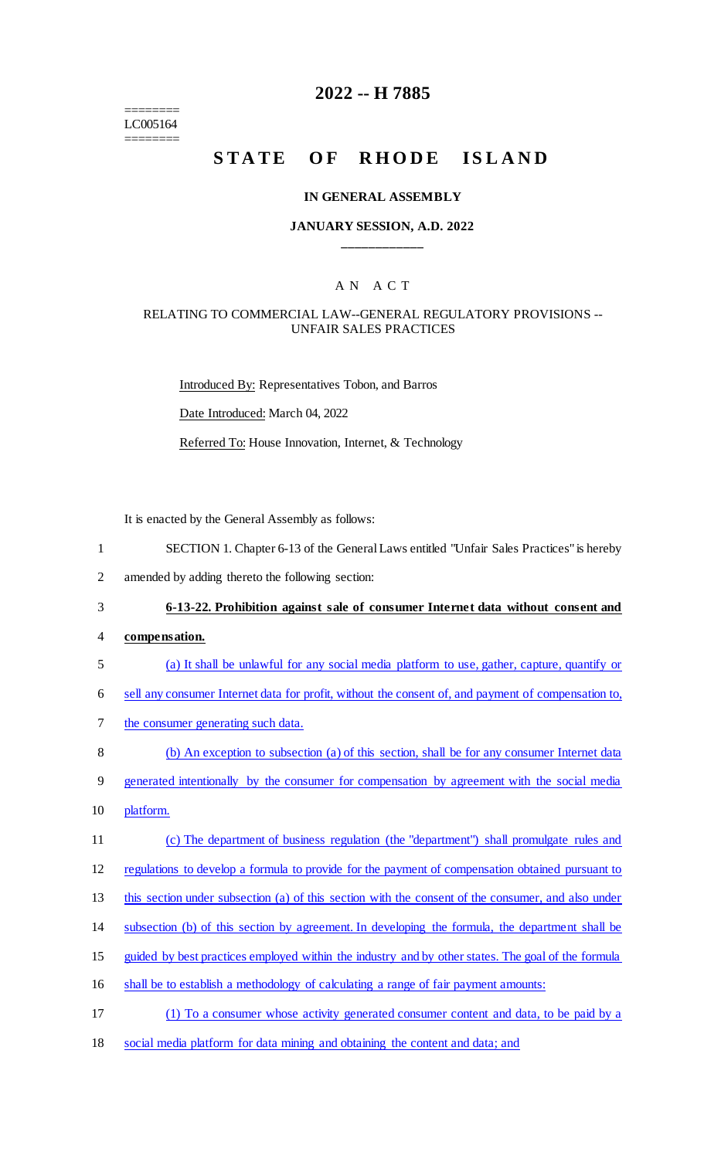======== LC005164 ========

## **2022 -- H 7885**

# STATE OF RHODE ISLAND

#### **IN GENERAL ASSEMBLY**

#### **JANUARY SESSION, A.D. 2022 \_\_\_\_\_\_\_\_\_\_\_\_**

#### A N A C T

#### RELATING TO COMMERCIAL LAW--GENERAL REGULATORY PROVISIONS -- UNFAIR SALES PRACTICES

Introduced By: Representatives Tobon, and Barros Date Introduced: March 04, 2022 Referred To: House Innovation, Internet, & Technology

It is enacted by the General Assembly as follows:

- 1 SECTION 1. Chapter 6-13 of the General Laws entitled "Unfair Sales Practices" is hereby
- 2 amended by adding thereto the following section:

3 **6-13-22. Prohibition against sale of consumer Internet data without consent and** 

- 4 **compensation.**
- 5 (a) It shall be unlawful for any social media platform to use, gather, capture, quantify or
- 6 sell any consumer Internet data for profit, without the consent of, and payment of compensation to,
- 7 the consumer generating such data.

8 (b) An exception to subsection (a) of this section, shall be for any consumer Internet data

- 9 generated intentionally by the consumer for compensation by agreement with the social media
- 10 platform.
- 11 (c) The department of business regulation (the "department") shall promulgate rules and

12 regulations to develop a formula to provide for the payment of compensation obtained pursuant to

13 this section under subsection (a) of this section with the consent of the consumer, and also under

- 14 subsection (b) of this section by agreement. In developing the formula, the department shall be
- 15 guided by best practices employed within the industry and by other states. The goal of the formula
- 16 shall be to establish a methodology of calculating a range of fair payment amounts:
- 17 (1) To a consumer whose activity generated consumer content and data, to be paid by a
- 18 social media platform for data mining and obtaining the content and data; and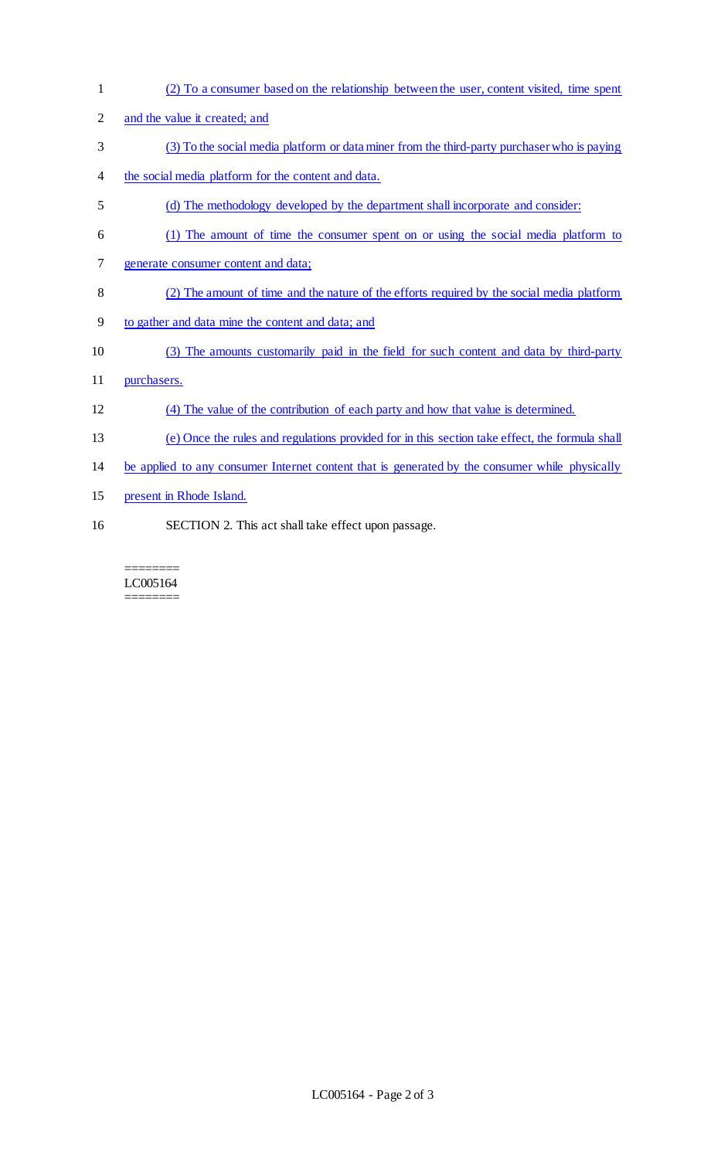(2) To a consumer based on the relationship between the user, content visited, time spent and the value it created; and (3) To the social media platform or data miner from the third-party purchaser who is paying the social media platform for the content and data. (d) The methodology developed by the department shall incorporate and consider: (1) The amount of time the consumer spent on or using the social media platform to generate consumer content and data; (2) The amount of time and the nature of the efforts required by the social media platform to gather and data mine the content and data; and (3) The amounts customarily paid in the field for such content and data by third-party purchasers. (4) The value of the contribution of each party and how that value is determined. (e) Once the rules and regulations provided for in this section take effect, the formula shall be applied to any consumer Internet content that is generated by the consumer while physically present in Rhode Island. SECTION 2. This act shall take effect upon passage.

======== LC005164 ========